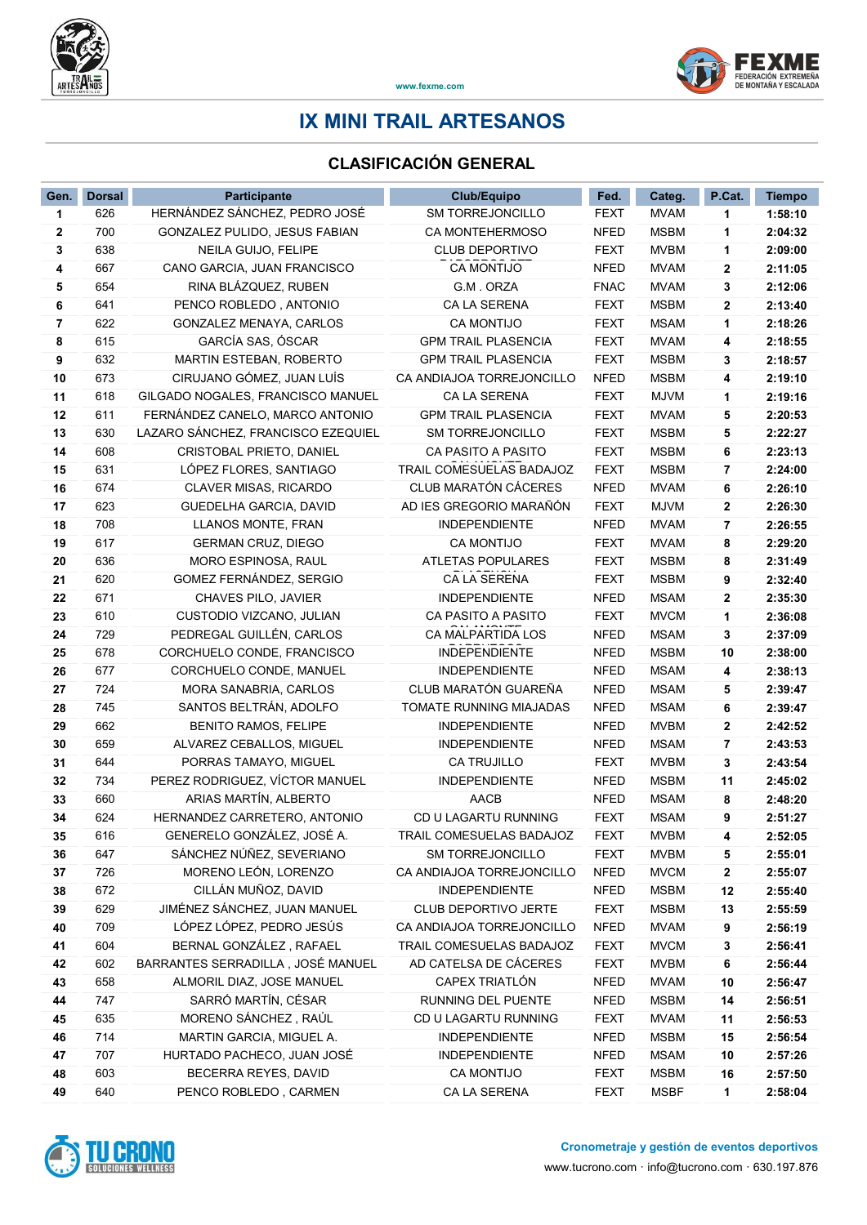

## IX MINI TRAIL ARTESANOS

## CLASIFICACIÓN GENERAL

| HERNÁNDEZ SÁNCHEZ, PEDRO JOSÉ<br><b>MVAM</b><br>626<br><b>SM TORREJONCILLO</b><br><b>FEXT</b><br>1:58:10<br>1<br>1<br>700<br><b>MSBM</b><br>2:04:32<br>2<br>GONZALEZ PULIDO, JESUS FABIAN<br><b>CA MONTEHERMOSO</b><br><b>NFED</b><br>1<br>638<br><b>FEXT</b><br>3<br>NEILA GUIJO, FELIPE<br><b>CLUB DEPORTIVO</b><br><b>MVBM</b><br>2:09:00<br>1<br>667<br><b>CA MONTIJO</b><br><b>NFED</b><br>CANO GARCIA, JUAN FRANCISCO<br><b>MVAM</b><br>2<br>2:11:05<br>4<br>654<br><b>FNAC</b><br><b>MVAM</b><br>RINA BLÁZQUEZ, RUBEN<br>G.M. ORZA<br>3<br>2:12:06<br>5<br>641<br><b>CA LA SERENA</b><br><b>FEXT</b><br><b>MSBM</b><br>6<br>PENCO ROBLEDO, ANTONIO<br>2<br>2:13:40<br>622<br>GONZALEZ MENAYA, CARLOS<br><b>CA MONTIJO</b><br>2:18:26<br>7<br>FEXT<br><b>MSAM</b><br>1<br>GARCÍA SAS, ÓSCAR<br>8<br>615<br><b>GPM TRAIL PLASENCIA</b><br><b>FEXT</b><br><b>MVAM</b><br>4<br>2:18:55<br>9<br>632<br>MARTIN ESTEBAN, ROBERTO<br><b>GPM TRAIL PLASENCIA</b><br><b>FEXT</b><br><b>MSBM</b><br>2:18:57<br>3<br>CIRUJANO GÓMEZ, JUAN LUÍS<br><b>NFED</b><br>10<br>673<br>CA ANDIAJOA TORREJONCILLO<br><b>MSBM</b><br>2:19:10<br>4<br>11<br>618<br>GILGADO NOGALES, FRANCISCO MANUEL<br>CA LA SERENA<br><b>FEXT</b><br><b>MJVM</b><br>2:19:16<br>1<br><b>FEXT</b><br>12<br>611<br>FERNÁNDEZ CANELO, MARCO ANTONIO<br><b>GPM TRAIL PLASENCIA</b><br><b>MVAM</b><br>2:20:53<br>5<br>630<br>LAZARO SÁNCHEZ, FRANCISCO EZEQUIEL<br>SM TORREJONCILLO<br><b>FEXT</b><br><b>MSBM</b><br>2:22:27<br>13<br>5<br>14<br>608<br>CRISTOBAL PRIETO, DANIEL<br>CA PASITO A PASITO<br><b>FEXT</b><br><b>MSBM</b><br>6<br>2:23:13<br>631<br>LÓPEZ FLORES, SANTIAGO<br>TRAIL COMESUELAS BADAJOZ<br><b>FEXT</b><br><b>MSBM</b><br>15<br>7<br>2:24:00<br><b>CLUB MARATÓN CÁCERES</b><br>674<br><b>NFED</b><br><b>MVAM</b><br>2:26:10<br>16<br><b>CLAVER MISAS, RICARDO</b><br>6<br>623<br>GUEDELHA GARCIA, DAVID<br>AD IES GREGORIO MARAÑÓN<br><b>MJVM</b><br>17<br><b>FEXT</b><br>2:26:30<br>2<br>18<br>708<br>LLANOS MONTE, FRAN<br><b>INDEPENDIENTE</b><br><b>NFED</b><br><b>MVAM</b><br>2:26:55<br>7<br>617<br><b>GERMAN CRUZ, DIEGO</b><br>CA MONTIJO<br><b>FEXT</b><br><b>MVAM</b><br>2:29:20<br>19<br>8<br>636<br>MORO ESPINOSA, RAUL<br><b>MSBM</b><br>20<br>ATLETAS POPULARES<br><b>FEXT</b><br>2:31:49<br>8<br>620<br>GOMEZ FERNÁNDEZ, SERGIO<br>CA LA SERENA<br><b>FEXT</b><br><b>MSBM</b><br>21<br>2:32:40<br>9<br>671<br><b>NFED</b><br><b>MSAM</b><br>2:35:30<br>22<br>CHAVES PILO, JAVIER<br><b>INDEPENDIENTE</b><br>2<br>610<br><b>FEXT</b><br>23<br>CUSTODIO VIZCANO, JULIAN<br>CA PASITO A PASITO<br><b>MVCM</b><br>2:36:08<br>1<br>729<br>PEDREGAL GUILLÉN, CARLOS<br>CA MALPARTIDA LOS<br><b>NFED</b><br>24<br><b>MSAM</b><br>2:37:09<br>3<br>25<br>678<br>CORCHUELO CONDE, FRANCISCO<br><b>INDEPENDIENTE</b><br><b>NFED</b><br><b>MSBM</b><br>2:38:00<br>10<br>677<br>CORCHUELO CONDE, MANUEL<br><b>INDEPENDIENTE</b><br><b>NFED</b><br><b>MSAM</b><br>26<br>4<br>2:38:13<br>CLUB MARATÓN GUAREÑA<br>27<br>724<br>MORA SANABRIA, CARLOS<br><b>NFED</b><br>5<br>2:39:47<br><b>MSAM</b><br>745<br>SANTOS BELTRÁN, ADOLFO<br>TOMATE RUNNING MIAJADAS<br><b>NFED</b><br><b>MSAM</b><br>28<br>6<br>2:39:47<br>29<br>662<br><b>BENITO RAMOS, FELIPE</b><br><b>INDEPENDIENTE</b><br><b>NFED</b><br><b>MVBM</b><br>2<br>2:42:52<br>30<br>659<br>ALVAREZ CEBALLOS, MIGUEL<br><b>INDEPENDIENTE</b><br><b>NFED</b><br><b>MSAM</b><br>2:43:53<br>7<br>644<br><b>CA TRUJILLO</b><br>PORRAS TAMAYO, MIGUEL<br><b>FEXT</b><br><b>MVBM</b><br>2:43:54<br>31<br>3<br>734<br>PEREZ RODRIGUEZ, VÍCTOR MANUEL<br><b>INDEPENDIENTE</b><br><b>NFED</b><br><b>MSBM</b><br>2:45:02<br>32<br>11<br>ARIAS MARTÍN, ALBERTO<br><b>AACB</b><br><b>NFED</b><br>33<br>660<br><b>MSAM</b><br>2:48:20<br>8<br>34<br>624<br>HERNANDEZ CARRETERO, ANTONIO<br>CD U LAGARTU RUNNING<br><b>FEXT</b><br><b>MSAM</b><br>9<br>2:51:27<br>GENERELO GONZÁLEZ, JOSÉ A.<br>TRAIL COMESUELAS BADAJOZ<br>FEXT<br><b>MVBM</b><br>2:52:05<br>35<br>616<br>4<br>SÁNCHEZ NÚÑEZ, SEVERIANO<br>647<br>SM TORREJONCILLO<br><b>FEXT</b><br><b>MVBM</b><br>2:55:01<br>36<br>5<br>MORENO LEÓN, LORENZO<br>726<br>37<br>CA ANDIAJOA TORREJONCILLO<br><b>NFED</b><br><b>MVCM</b><br>2<br>2:55:07<br>CILLÁN MUÑOZ, DAVID<br>38<br>672<br><b>INDEPENDIENTE</b><br><b>NFED</b><br><b>MSBM</b><br>12<br>2:55:40<br>JIMÉNEZ SÁNCHEZ, JUAN MANUEL<br>39<br>629<br>CLUB DEPORTIVO JERTE<br><b>FEXT</b><br><b>MSBM</b><br>13<br>2:55:59<br>LÓPEZ LÓPEZ, PEDRO JESÚS<br>709<br>CA ANDIAJOA TORREJONCILLO<br><b>NFED</b><br><b>MVAM</b><br>40<br>9<br>2:56:19<br>BERNAL GONZÁLEZ, RAFAEL<br>604<br>TRAIL COMESUELAS BADAJOZ<br><b>FEXT</b><br><b>MVCM</b><br>41<br>3<br>2:56:41<br>602<br>BARRANTES SERRADILLA, JOSÉ MANUEL<br>AD CATELSA DE CÁCERES<br><b>FEXT</b><br><b>MVBM</b><br>42<br>6<br>2:56:44<br>658<br>ALMORIL DIAZ, JOSE MANUEL<br>CAPEX TRIATLÓN<br><b>NFED</b><br><b>MVAM</b><br>43<br>10<br>2:56:47<br>SARRÓ MARTÍN, CÉSAR<br>747<br>RUNNING DEL PUENTE<br>NFED<br><b>MSBM</b><br>44<br>14<br>2:56:51<br>MORENO SÁNCHEZ, RAÚL<br>CD U LAGARTU RUNNING<br>45<br>635<br><b>FEXT</b><br><b>MVAM</b><br>2:56:53<br>11<br>46<br>714<br>MARTIN GARCIA, MIGUEL A.<br><b>INDEPENDIENTE</b><br>NFED<br><b>MSBM</b><br>15<br>2:56:54<br>707<br>HURTADO PACHECO, JUAN JOSÉ<br><b>NFED</b><br>10<br>47<br><b>INDEPENDIENTE</b><br><b>MSAM</b><br>2:57:26<br>603<br>BECERRA REYES, DAVID<br><b>CA MONTIJO</b><br><b>MSBM</b><br>48<br>FEXT<br>16<br>2:57:50<br>49<br>640<br><b>MSBF</b><br>PENCO ROBLEDO, CARMEN<br>CA LA SERENA<br><b>FEXT</b><br>2:58:04<br>1 | Gen. | <b>Dorsal</b> | Participante | <b>Club/Equipo</b> | Fed. | Categ. | P.Cat. | <b>Tiempo</b> |
|-----------------------------------------------------------------------------------------------------------------------------------------------------------------------------------------------------------------------------------------------------------------------------------------------------------------------------------------------------------------------------------------------------------------------------------------------------------------------------------------------------------------------------------------------------------------------------------------------------------------------------------------------------------------------------------------------------------------------------------------------------------------------------------------------------------------------------------------------------------------------------------------------------------------------------------------------------------------------------------------------------------------------------------------------------------------------------------------------------------------------------------------------------------------------------------------------------------------------------------------------------------------------------------------------------------------------------------------------------------------------------------------------------------------------------------------------------------------------------------------------------------------------------------------------------------------------------------------------------------------------------------------------------------------------------------------------------------------------------------------------------------------------------------------------------------------------------------------------------------------------------------------------------------------------------------------------------------------------------------------------------------------------------------------------------------------------------------------------------------------------------------------------------------------------------------------------------------------------------------------------------------------------------------------------------------------------------------------------------------------------------------------------------------------------------------------------------------------------------------------------------------------------------------------------------------------------------------------------------------------------------------------------------------------------------------------------------------------------------------------------------------------------------------------------------------------------------------------------------------------------------------------------------------------------------------------------------------------------------------------------------------------------------------------------------------------------------------------------------------------------------------------------------------------------------------------------------------------------------------------------------------------------------------------------------------------------------------------------------------------------------------------------------------------------------------------------------------------------------------------------------------------------------------------------------------------------------------------------------------------------------------------------------------------------------------------------------------------------------------------------------------------------------------------------------------------------------------------------------------------------------------------------------------------------------------------------------------------------------------------------------------------------------------------------------------------------------------------------------------------------------------------------------------------------------------------------------------------------------------------------------------------------------------------------------------------------------------------------------------------------------------------------------------------------------------------------------------------------------------------------------------------------------------------------------------------------------------------------------------------------------------------------------------------------------------------------------------------------------------------------------------------------------------------------------------------------------------------------------------------------------------------------------------------------------------------------------------------------------------------------------------------------------------------------------------------------------------------------------------------------------------------------------------------------------------------------------------------------------------------------------------------------------------------------------------------------------------------------------------------------------------------------------------------------------------------------------------------------------------------------------------------------------------------------------------------------------------------------|------|---------------|--------------|--------------------|------|--------|--------|---------------|
|                                                                                                                                                                                                                                                                                                                                                                                                                                                                                                                                                                                                                                                                                                                                                                                                                                                                                                                                                                                                                                                                                                                                                                                                                                                                                                                                                                                                                                                                                                                                                                                                                                                                                                                                                                                                                                                                                                                                                                                                                                                                                                                                                                                                                                                                                                                                                                                                                                                                                                                                                                                                                                                                                                                                                                                                                                                                                                                                                                                                                                                                                                                                                                                                                                                                                                                                                                                                                                                                                                                                                                                                                                                                                                                                                                                                                                                                                                                                                                                                                                                                                                                                                                                                                                                                                                                                                                                                                                                                                                                                                                                                                                                                                                                                                                                                                                                                                                                                                                                                                                                                                                                                                                                                                                                                                                                                                                                                                                                                                                                                                                                               |      |               |              |                    |      |        |        |               |
|                                                                                                                                                                                                                                                                                                                                                                                                                                                                                                                                                                                                                                                                                                                                                                                                                                                                                                                                                                                                                                                                                                                                                                                                                                                                                                                                                                                                                                                                                                                                                                                                                                                                                                                                                                                                                                                                                                                                                                                                                                                                                                                                                                                                                                                                                                                                                                                                                                                                                                                                                                                                                                                                                                                                                                                                                                                                                                                                                                                                                                                                                                                                                                                                                                                                                                                                                                                                                                                                                                                                                                                                                                                                                                                                                                                                                                                                                                                                                                                                                                                                                                                                                                                                                                                                                                                                                                                                                                                                                                                                                                                                                                                                                                                                                                                                                                                                                                                                                                                                                                                                                                                                                                                                                                                                                                                                                                                                                                                                                                                                                                                               |      |               |              |                    |      |        |        |               |
|                                                                                                                                                                                                                                                                                                                                                                                                                                                                                                                                                                                                                                                                                                                                                                                                                                                                                                                                                                                                                                                                                                                                                                                                                                                                                                                                                                                                                                                                                                                                                                                                                                                                                                                                                                                                                                                                                                                                                                                                                                                                                                                                                                                                                                                                                                                                                                                                                                                                                                                                                                                                                                                                                                                                                                                                                                                                                                                                                                                                                                                                                                                                                                                                                                                                                                                                                                                                                                                                                                                                                                                                                                                                                                                                                                                                                                                                                                                                                                                                                                                                                                                                                                                                                                                                                                                                                                                                                                                                                                                                                                                                                                                                                                                                                                                                                                                                                                                                                                                                                                                                                                                                                                                                                                                                                                                                                                                                                                                                                                                                                                                               |      |               |              |                    |      |        |        |               |
|                                                                                                                                                                                                                                                                                                                                                                                                                                                                                                                                                                                                                                                                                                                                                                                                                                                                                                                                                                                                                                                                                                                                                                                                                                                                                                                                                                                                                                                                                                                                                                                                                                                                                                                                                                                                                                                                                                                                                                                                                                                                                                                                                                                                                                                                                                                                                                                                                                                                                                                                                                                                                                                                                                                                                                                                                                                                                                                                                                                                                                                                                                                                                                                                                                                                                                                                                                                                                                                                                                                                                                                                                                                                                                                                                                                                                                                                                                                                                                                                                                                                                                                                                                                                                                                                                                                                                                                                                                                                                                                                                                                                                                                                                                                                                                                                                                                                                                                                                                                                                                                                                                                                                                                                                                                                                                                                                                                                                                                                                                                                                                                               |      |               |              |                    |      |        |        |               |
|                                                                                                                                                                                                                                                                                                                                                                                                                                                                                                                                                                                                                                                                                                                                                                                                                                                                                                                                                                                                                                                                                                                                                                                                                                                                                                                                                                                                                                                                                                                                                                                                                                                                                                                                                                                                                                                                                                                                                                                                                                                                                                                                                                                                                                                                                                                                                                                                                                                                                                                                                                                                                                                                                                                                                                                                                                                                                                                                                                                                                                                                                                                                                                                                                                                                                                                                                                                                                                                                                                                                                                                                                                                                                                                                                                                                                                                                                                                                                                                                                                                                                                                                                                                                                                                                                                                                                                                                                                                                                                                                                                                                                                                                                                                                                                                                                                                                                                                                                                                                                                                                                                                                                                                                                                                                                                                                                                                                                                                                                                                                                                                               |      |               |              |                    |      |        |        |               |
|                                                                                                                                                                                                                                                                                                                                                                                                                                                                                                                                                                                                                                                                                                                                                                                                                                                                                                                                                                                                                                                                                                                                                                                                                                                                                                                                                                                                                                                                                                                                                                                                                                                                                                                                                                                                                                                                                                                                                                                                                                                                                                                                                                                                                                                                                                                                                                                                                                                                                                                                                                                                                                                                                                                                                                                                                                                                                                                                                                                                                                                                                                                                                                                                                                                                                                                                                                                                                                                                                                                                                                                                                                                                                                                                                                                                                                                                                                                                                                                                                                                                                                                                                                                                                                                                                                                                                                                                                                                                                                                                                                                                                                                                                                                                                                                                                                                                                                                                                                                                                                                                                                                                                                                                                                                                                                                                                                                                                                                                                                                                                                                               |      |               |              |                    |      |        |        |               |
|                                                                                                                                                                                                                                                                                                                                                                                                                                                                                                                                                                                                                                                                                                                                                                                                                                                                                                                                                                                                                                                                                                                                                                                                                                                                                                                                                                                                                                                                                                                                                                                                                                                                                                                                                                                                                                                                                                                                                                                                                                                                                                                                                                                                                                                                                                                                                                                                                                                                                                                                                                                                                                                                                                                                                                                                                                                                                                                                                                                                                                                                                                                                                                                                                                                                                                                                                                                                                                                                                                                                                                                                                                                                                                                                                                                                                                                                                                                                                                                                                                                                                                                                                                                                                                                                                                                                                                                                                                                                                                                                                                                                                                                                                                                                                                                                                                                                                                                                                                                                                                                                                                                                                                                                                                                                                                                                                                                                                                                                                                                                                                                               |      |               |              |                    |      |        |        |               |
|                                                                                                                                                                                                                                                                                                                                                                                                                                                                                                                                                                                                                                                                                                                                                                                                                                                                                                                                                                                                                                                                                                                                                                                                                                                                                                                                                                                                                                                                                                                                                                                                                                                                                                                                                                                                                                                                                                                                                                                                                                                                                                                                                                                                                                                                                                                                                                                                                                                                                                                                                                                                                                                                                                                                                                                                                                                                                                                                                                                                                                                                                                                                                                                                                                                                                                                                                                                                                                                                                                                                                                                                                                                                                                                                                                                                                                                                                                                                                                                                                                                                                                                                                                                                                                                                                                                                                                                                                                                                                                                                                                                                                                                                                                                                                                                                                                                                                                                                                                                                                                                                                                                                                                                                                                                                                                                                                                                                                                                                                                                                                                                               |      |               |              |                    |      |        |        |               |
|                                                                                                                                                                                                                                                                                                                                                                                                                                                                                                                                                                                                                                                                                                                                                                                                                                                                                                                                                                                                                                                                                                                                                                                                                                                                                                                                                                                                                                                                                                                                                                                                                                                                                                                                                                                                                                                                                                                                                                                                                                                                                                                                                                                                                                                                                                                                                                                                                                                                                                                                                                                                                                                                                                                                                                                                                                                                                                                                                                                                                                                                                                                                                                                                                                                                                                                                                                                                                                                                                                                                                                                                                                                                                                                                                                                                                                                                                                                                                                                                                                                                                                                                                                                                                                                                                                                                                                                                                                                                                                                                                                                                                                                                                                                                                                                                                                                                                                                                                                                                                                                                                                                                                                                                                                                                                                                                                                                                                                                                                                                                                                                               |      |               |              |                    |      |        |        |               |
|                                                                                                                                                                                                                                                                                                                                                                                                                                                                                                                                                                                                                                                                                                                                                                                                                                                                                                                                                                                                                                                                                                                                                                                                                                                                                                                                                                                                                                                                                                                                                                                                                                                                                                                                                                                                                                                                                                                                                                                                                                                                                                                                                                                                                                                                                                                                                                                                                                                                                                                                                                                                                                                                                                                                                                                                                                                                                                                                                                                                                                                                                                                                                                                                                                                                                                                                                                                                                                                                                                                                                                                                                                                                                                                                                                                                                                                                                                                                                                                                                                                                                                                                                                                                                                                                                                                                                                                                                                                                                                                                                                                                                                                                                                                                                                                                                                                                                                                                                                                                                                                                                                                                                                                                                                                                                                                                                                                                                                                                                                                                                                                               |      |               |              |                    |      |        |        |               |
|                                                                                                                                                                                                                                                                                                                                                                                                                                                                                                                                                                                                                                                                                                                                                                                                                                                                                                                                                                                                                                                                                                                                                                                                                                                                                                                                                                                                                                                                                                                                                                                                                                                                                                                                                                                                                                                                                                                                                                                                                                                                                                                                                                                                                                                                                                                                                                                                                                                                                                                                                                                                                                                                                                                                                                                                                                                                                                                                                                                                                                                                                                                                                                                                                                                                                                                                                                                                                                                                                                                                                                                                                                                                                                                                                                                                                                                                                                                                                                                                                                                                                                                                                                                                                                                                                                                                                                                                                                                                                                                                                                                                                                                                                                                                                                                                                                                                                                                                                                                                                                                                                                                                                                                                                                                                                                                                                                                                                                                                                                                                                                                               |      |               |              |                    |      |        |        |               |
|                                                                                                                                                                                                                                                                                                                                                                                                                                                                                                                                                                                                                                                                                                                                                                                                                                                                                                                                                                                                                                                                                                                                                                                                                                                                                                                                                                                                                                                                                                                                                                                                                                                                                                                                                                                                                                                                                                                                                                                                                                                                                                                                                                                                                                                                                                                                                                                                                                                                                                                                                                                                                                                                                                                                                                                                                                                                                                                                                                                                                                                                                                                                                                                                                                                                                                                                                                                                                                                                                                                                                                                                                                                                                                                                                                                                                                                                                                                                                                                                                                                                                                                                                                                                                                                                                                                                                                                                                                                                                                                                                                                                                                                                                                                                                                                                                                                                                                                                                                                                                                                                                                                                                                                                                                                                                                                                                                                                                                                                                                                                                                                               |      |               |              |                    |      |        |        |               |
|                                                                                                                                                                                                                                                                                                                                                                                                                                                                                                                                                                                                                                                                                                                                                                                                                                                                                                                                                                                                                                                                                                                                                                                                                                                                                                                                                                                                                                                                                                                                                                                                                                                                                                                                                                                                                                                                                                                                                                                                                                                                                                                                                                                                                                                                                                                                                                                                                                                                                                                                                                                                                                                                                                                                                                                                                                                                                                                                                                                                                                                                                                                                                                                                                                                                                                                                                                                                                                                                                                                                                                                                                                                                                                                                                                                                                                                                                                                                                                                                                                                                                                                                                                                                                                                                                                                                                                                                                                                                                                                                                                                                                                                                                                                                                                                                                                                                                                                                                                                                                                                                                                                                                                                                                                                                                                                                                                                                                                                                                                                                                                                               |      |               |              |                    |      |        |        |               |
|                                                                                                                                                                                                                                                                                                                                                                                                                                                                                                                                                                                                                                                                                                                                                                                                                                                                                                                                                                                                                                                                                                                                                                                                                                                                                                                                                                                                                                                                                                                                                                                                                                                                                                                                                                                                                                                                                                                                                                                                                                                                                                                                                                                                                                                                                                                                                                                                                                                                                                                                                                                                                                                                                                                                                                                                                                                                                                                                                                                                                                                                                                                                                                                                                                                                                                                                                                                                                                                                                                                                                                                                                                                                                                                                                                                                                                                                                                                                                                                                                                                                                                                                                                                                                                                                                                                                                                                                                                                                                                                                                                                                                                                                                                                                                                                                                                                                                                                                                                                                                                                                                                                                                                                                                                                                                                                                                                                                                                                                                                                                                                                               |      |               |              |                    |      |        |        |               |
|                                                                                                                                                                                                                                                                                                                                                                                                                                                                                                                                                                                                                                                                                                                                                                                                                                                                                                                                                                                                                                                                                                                                                                                                                                                                                                                                                                                                                                                                                                                                                                                                                                                                                                                                                                                                                                                                                                                                                                                                                                                                                                                                                                                                                                                                                                                                                                                                                                                                                                                                                                                                                                                                                                                                                                                                                                                                                                                                                                                                                                                                                                                                                                                                                                                                                                                                                                                                                                                                                                                                                                                                                                                                                                                                                                                                                                                                                                                                                                                                                                                                                                                                                                                                                                                                                                                                                                                                                                                                                                                                                                                                                                                                                                                                                                                                                                                                                                                                                                                                                                                                                                                                                                                                                                                                                                                                                                                                                                                                                                                                                                                               |      |               |              |                    |      |        |        |               |
|                                                                                                                                                                                                                                                                                                                                                                                                                                                                                                                                                                                                                                                                                                                                                                                                                                                                                                                                                                                                                                                                                                                                                                                                                                                                                                                                                                                                                                                                                                                                                                                                                                                                                                                                                                                                                                                                                                                                                                                                                                                                                                                                                                                                                                                                                                                                                                                                                                                                                                                                                                                                                                                                                                                                                                                                                                                                                                                                                                                                                                                                                                                                                                                                                                                                                                                                                                                                                                                                                                                                                                                                                                                                                                                                                                                                                                                                                                                                                                                                                                                                                                                                                                                                                                                                                                                                                                                                                                                                                                                                                                                                                                                                                                                                                                                                                                                                                                                                                                                                                                                                                                                                                                                                                                                                                                                                                                                                                                                                                                                                                                                               |      |               |              |                    |      |        |        |               |
|                                                                                                                                                                                                                                                                                                                                                                                                                                                                                                                                                                                                                                                                                                                                                                                                                                                                                                                                                                                                                                                                                                                                                                                                                                                                                                                                                                                                                                                                                                                                                                                                                                                                                                                                                                                                                                                                                                                                                                                                                                                                                                                                                                                                                                                                                                                                                                                                                                                                                                                                                                                                                                                                                                                                                                                                                                                                                                                                                                                                                                                                                                                                                                                                                                                                                                                                                                                                                                                                                                                                                                                                                                                                                                                                                                                                                                                                                                                                                                                                                                                                                                                                                                                                                                                                                                                                                                                                                                                                                                                                                                                                                                                                                                                                                                                                                                                                                                                                                                                                                                                                                                                                                                                                                                                                                                                                                                                                                                                                                                                                                                                               |      |               |              |                    |      |        |        |               |
|                                                                                                                                                                                                                                                                                                                                                                                                                                                                                                                                                                                                                                                                                                                                                                                                                                                                                                                                                                                                                                                                                                                                                                                                                                                                                                                                                                                                                                                                                                                                                                                                                                                                                                                                                                                                                                                                                                                                                                                                                                                                                                                                                                                                                                                                                                                                                                                                                                                                                                                                                                                                                                                                                                                                                                                                                                                                                                                                                                                                                                                                                                                                                                                                                                                                                                                                                                                                                                                                                                                                                                                                                                                                                                                                                                                                                                                                                                                                                                                                                                                                                                                                                                                                                                                                                                                                                                                                                                                                                                                                                                                                                                                                                                                                                                                                                                                                                                                                                                                                                                                                                                                                                                                                                                                                                                                                                                                                                                                                                                                                                                                               |      |               |              |                    |      |        |        |               |
|                                                                                                                                                                                                                                                                                                                                                                                                                                                                                                                                                                                                                                                                                                                                                                                                                                                                                                                                                                                                                                                                                                                                                                                                                                                                                                                                                                                                                                                                                                                                                                                                                                                                                                                                                                                                                                                                                                                                                                                                                                                                                                                                                                                                                                                                                                                                                                                                                                                                                                                                                                                                                                                                                                                                                                                                                                                                                                                                                                                                                                                                                                                                                                                                                                                                                                                                                                                                                                                                                                                                                                                                                                                                                                                                                                                                                                                                                                                                                                                                                                                                                                                                                                                                                                                                                                                                                                                                                                                                                                                                                                                                                                                                                                                                                                                                                                                                                                                                                                                                                                                                                                                                                                                                                                                                                                                                                                                                                                                                                                                                                                                               |      |               |              |                    |      |        |        |               |
|                                                                                                                                                                                                                                                                                                                                                                                                                                                                                                                                                                                                                                                                                                                                                                                                                                                                                                                                                                                                                                                                                                                                                                                                                                                                                                                                                                                                                                                                                                                                                                                                                                                                                                                                                                                                                                                                                                                                                                                                                                                                                                                                                                                                                                                                                                                                                                                                                                                                                                                                                                                                                                                                                                                                                                                                                                                                                                                                                                                                                                                                                                                                                                                                                                                                                                                                                                                                                                                                                                                                                                                                                                                                                                                                                                                                                                                                                                                                                                                                                                                                                                                                                                                                                                                                                                                                                                                                                                                                                                                                                                                                                                                                                                                                                                                                                                                                                                                                                                                                                                                                                                                                                                                                                                                                                                                                                                                                                                                                                                                                                                                               |      |               |              |                    |      |        |        |               |
|                                                                                                                                                                                                                                                                                                                                                                                                                                                                                                                                                                                                                                                                                                                                                                                                                                                                                                                                                                                                                                                                                                                                                                                                                                                                                                                                                                                                                                                                                                                                                                                                                                                                                                                                                                                                                                                                                                                                                                                                                                                                                                                                                                                                                                                                                                                                                                                                                                                                                                                                                                                                                                                                                                                                                                                                                                                                                                                                                                                                                                                                                                                                                                                                                                                                                                                                                                                                                                                                                                                                                                                                                                                                                                                                                                                                                                                                                                                                                                                                                                                                                                                                                                                                                                                                                                                                                                                                                                                                                                                                                                                                                                                                                                                                                                                                                                                                                                                                                                                                                                                                                                                                                                                                                                                                                                                                                                                                                                                                                                                                                                                               |      |               |              |                    |      |        |        |               |
|                                                                                                                                                                                                                                                                                                                                                                                                                                                                                                                                                                                                                                                                                                                                                                                                                                                                                                                                                                                                                                                                                                                                                                                                                                                                                                                                                                                                                                                                                                                                                                                                                                                                                                                                                                                                                                                                                                                                                                                                                                                                                                                                                                                                                                                                                                                                                                                                                                                                                                                                                                                                                                                                                                                                                                                                                                                                                                                                                                                                                                                                                                                                                                                                                                                                                                                                                                                                                                                                                                                                                                                                                                                                                                                                                                                                                                                                                                                                                                                                                                                                                                                                                                                                                                                                                                                                                                                                                                                                                                                                                                                                                                                                                                                                                                                                                                                                                                                                                                                                                                                                                                                                                                                                                                                                                                                                                                                                                                                                                                                                                                                               |      |               |              |                    |      |        |        |               |
|                                                                                                                                                                                                                                                                                                                                                                                                                                                                                                                                                                                                                                                                                                                                                                                                                                                                                                                                                                                                                                                                                                                                                                                                                                                                                                                                                                                                                                                                                                                                                                                                                                                                                                                                                                                                                                                                                                                                                                                                                                                                                                                                                                                                                                                                                                                                                                                                                                                                                                                                                                                                                                                                                                                                                                                                                                                                                                                                                                                                                                                                                                                                                                                                                                                                                                                                                                                                                                                                                                                                                                                                                                                                                                                                                                                                                                                                                                                                                                                                                                                                                                                                                                                                                                                                                                                                                                                                                                                                                                                                                                                                                                                                                                                                                                                                                                                                                                                                                                                                                                                                                                                                                                                                                                                                                                                                                                                                                                                                                                                                                                                               |      |               |              |                    |      |        |        |               |
|                                                                                                                                                                                                                                                                                                                                                                                                                                                                                                                                                                                                                                                                                                                                                                                                                                                                                                                                                                                                                                                                                                                                                                                                                                                                                                                                                                                                                                                                                                                                                                                                                                                                                                                                                                                                                                                                                                                                                                                                                                                                                                                                                                                                                                                                                                                                                                                                                                                                                                                                                                                                                                                                                                                                                                                                                                                                                                                                                                                                                                                                                                                                                                                                                                                                                                                                                                                                                                                                                                                                                                                                                                                                                                                                                                                                                                                                                                                                                                                                                                                                                                                                                                                                                                                                                                                                                                                                                                                                                                                                                                                                                                                                                                                                                                                                                                                                                                                                                                                                                                                                                                                                                                                                                                                                                                                                                                                                                                                                                                                                                                                               |      |               |              |                    |      |        |        |               |
|                                                                                                                                                                                                                                                                                                                                                                                                                                                                                                                                                                                                                                                                                                                                                                                                                                                                                                                                                                                                                                                                                                                                                                                                                                                                                                                                                                                                                                                                                                                                                                                                                                                                                                                                                                                                                                                                                                                                                                                                                                                                                                                                                                                                                                                                                                                                                                                                                                                                                                                                                                                                                                                                                                                                                                                                                                                                                                                                                                                                                                                                                                                                                                                                                                                                                                                                                                                                                                                                                                                                                                                                                                                                                                                                                                                                                                                                                                                                                                                                                                                                                                                                                                                                                                                                                                                                                                                                                                                                                                                                                                                                                                                                                                                                                                                                                                                                                                                                                                                                                                                                                                                                                                                                                                                                                                                                                                                                                                                                                                                                                                                               |      |               |              |                    |      |        |        |               |
|                                                                                                                                                                                                                                                                                                                                                                                                                                                                                                                                                                                                                                                                                                                                                                                                                                                                                                                                                                                                                                                                                                                                                                                                                                                                                                                                                                                                                                                                                                                                                                                                                                                                                                                                                                                                                                                                                                                                                                                                                                                                                                                                                                                                                                                                                                                                                                                                                                                                                                                                                                                                                                                                                                                                                                                                                                                                                                                                                                                                                                                                                                                                                                                                                                                                                                                                                                                                                                                                                                                                                                                                                                                                                                                                                                                                                                                                                                                                                                                                                                                                                                                                                                                                                                                                                                                                                                                                                                                                                                                                                                                                                                                                                                                                                                                                                                                                                                                                                                                                                                                                                                                                                                                                                                                                                                                                                                                                                                                                                                                                                                                               |      |               |              |                    |      |        |        |               |
|                                                                                                                                                                                                                                                                                                                                                                                                                                                                                                                                                                                                                                                                                                                                                                                                                                                                                                                                                                                                                                                                                                                                                                                                                                                                                                                                                                                                                                                                                                                                                                                                                                                                                                                                                                                                                                                                                                                                                                                                                                                                                                                                                                                                                                                                                                                                                                                                                                                                                                                                                                                                                                                                                                                                                                                                                                                                                                                                                                                                                                                                                                                                                                                                                                                                                                                                                                                                                                                                                                                                                                                                                                                                                                                                                                                                                                                                                                                                                                                                                                                                                                                                                                                                                                                                                                                                                                                                                                                                                                                                                                                                                                                                                                                                                                                                                                                                                                                                                                                                                                                                                                                                                                                                                                                                                                                                                                                                                                                                                                                                                                                               |      |               |              |                    |      |        |        |               |
|                                                                                                                                                                                                                                                                                                                                                                                                                                                                                                                                                                                                                                                                                                                                                                                                                                                                                                                                                                                                                                                                                                                                                                                                                                                                                                                                                                                                                                                                                                                                                                                                                                                                                                                                                                                                                                                                                                                                                                                                                                                                                                                                                                                                                                                                                                                                                                                                                                                                                                                                                                                                                                                                                                                                                                                                                                                                                                                                                                                                                                                                                                                                                                                                                                                                                                                                                                                                                                                                                                                                                                                                                                                                                                                                                                                                                                                                                                                                                                                                                                                                                                                                                                                                                                                                                                                                                                                                                                                                                                                                                                                                                                                                                                                                                                                                                                                                                                                                                                                                                                                                                                                                                                                                                                                                                                                                                                                                                                                                                                                                                                                               |      |               |              |                    |      |        |        |               |
|                                                                                                                                                                                                                                                                                                                                                                                                                                                                                                                                                                                                                                                                                                                                                                                                                                                                                                                                                                                                                                                                                                                                                                                                                                                                                                                                                                                                                                                                                                                                                                                                                                                                                                                                                                                                                                                                                                                                                                                                                                                                                                                                                                                                                                                                                                                                                                                                                                                                                                                                                                                                                                                                                                                                                                                                                                                                                                                                                                                                                                                                                                                                                                                                                                                                                                                                                                                                                                                                                                                                                                                                                                                                                                                                                                                                                                                                                                                                                                                                                                                                                                                                                                                                                                                                                                                                                                                                                                                                                                                                                                                                                                                                                                                                                                                                                                                                                                                                                                                                                                                                                                                                                                                                                                                                                                                                                                                                                                                                                                                                                                                               |      |               |              |                    |      |        |        |               |
|                                                                                                                                                                                                                                                                                                                                                                                                                                                                                                                                                                                                                                                                                                                                                                                                                                                                                                                                                                                                                                                                                                                                                                                                                                                                                                                                                                                                                                                                                                                                                                                                                                                                                                                                                                                                                                                                                                                                                                                                                                                                                                                                                                                                                                                                                                                                                                                                                                                                                                                                                                                                                                                                                                                                                                                                                                                                                                                                                                                                                                                                                                                                                                                                                                                                                                                                                                                                                                                                                                                                                                                                                                                                                                                                                                                                                                                                                                                                                                                                                                                                                                                                                                                                                                                                                                                                                                                                                                                                                                                                                                                                                                                                                                                                                                                                                                                                                                                                                                                                                                                                                                                                                                                                                                                                                                                                                                                                                                                                                                                                                                                               |      |               |              |                    |      |        |        |               |
|                                                                                                                                                                                                                                                                                                                                                                                                                                                                                                                                                                                                                                                                                                                                                                                                                                                                                                                                                                                                                                                                                                                                                                                                                                                                                                                                                                                                                                                                                                                                                                                                                                                                                                                                                                                                                                                                                                                                                                                                                                                                                                                                                                                                                                                                                                                                                                                                                                                                                                                                                                                                                                                                                                                                                                                                                                                                                                                                                                                                                                                                                                                                                                                                                                                                                                                                                                                                                                                                                                                                                                                                                                                                                                                                                                                                                                                                                                                                                                                                                                                                                                                                                                                                                                                                                                                                                                                                                                                                                                                                                                                                                                                                                                                                                                                                                                                                                                                                                                                                                                                                                                                                                                                                                                                                                                                                                                                                                                                                                                                                                                                               |      |               |              |                    |      |        |        |               |
|                                                                                                                                                                                                                                                                                                                                                                                                                                                                                                                                                                                                                                                                                                                                                                                                                                                                                                                                                                                                                                                                                                                                                                                                                                                                                                                                                                                                                                                                                                                                                                                                                                                                                                                                                                                                                                                                                                                                                                                                                                                                                                                                                                                                                                                                                                                                                                                                                                                                                                                                                                                                                                                                                                                                                                                                                                                                                                                                                                                                                                                                                                                                                                                                                                                                                                                                                                                                                                                                                                                                                                                                                                                                                                                                                                                                                                                                                                                                                                                                                                                                                                                                                                                                                                                                                                                                                                                                                                                                                                                                                                                                                                                                                                                                                                                                                                                                                                                                                                                                                                                                                                                                                                                                                                                                                                                                                                                                                                                                                                                                                                                               |      |               |              |                    |      |        |        |               |
|                                                                                                                                                                                                                                                                                                                                                                                                                                                                                                                                                                                                                                                                                                                                                                                                                                                                                                                                                                                                                                                                                                                                                                                                                                                                                                                                                                                                                                                                                                                                                                                                                                                                                                                                                                                                                                                                                                                                                                                                                                                                                                                                                                                                                                                                                                                                                                                                                                                                                                                                                                                                                                                                                                                                                                                                                                                                                                                                                                                                                                                                                                                                                                                                                                                                                                                                                                                                                                                                                                                                                                                                                                                                                                                                                                                                                                                                                                                                                                                                                                                                                                                                                                                                                                                                                                                                                                                                                                                                                                                                                                                                                                                                                                                                                                                                                                                                                                                                                                                                                                                                                                                                                                                                                                                                                                                                                                                                                                                                                                                                                                                               |      |               |              |                    |      |        |        |               |
|                                                                                                                                                                                                                                                                                                                                                                                                                                                                                                                                                                                                                                                                                                                                                                                                                                                                                                                                                                                                                                                                                                                                                                                                                                                                                                                                                                                                                                                                                                                                                                                                                                                                                                                                                                                                                                                                                                                                                                                                                                                                                                                                                                                                                                                                                                                                                                                                                                                                                                                                                                                                                                                                                                                                                                                                                                                                                                                                                                                                                                                                                                                                                                                                                                                                                                                                                                                                                                                                                                                                                                                                                                                                                                                                                                                                                                                                                                                                                                                                                                                                                                                                                                                                                                                                                                                                                                                                                                                                                                                                                                                                                                                                                                                                                                                                                                                                                                                                                                                                                                                                                                                                                                                                                                                                                                                                                                                                                                                                                                                                                                                               |      |               |              |                    |      |        |        |               |
|                                                                                                                                                                                                                                                                                                                                                                                                                                                                                                                                                                                                                                                                                                                                                                                                                                                                                                                                                                                                                                                                                                                                                                                                                                                                                                                                                                                                                                                                                                                                                                                                                                                                                                                                                                                                                                                                                                                                                                                                                                                                                                                                                                                                                                                                                                                                                                                                                                                                                                                                                                                                                                                                                                                                                                                                                                                                                                                                                                                                                                                                                                                                                                                                                                                                                                                                                                                                                                                                                                                                                                                                                                                                                                                                                                                                                                                                                                                                                                                                                                                                                                                                                                                                                                                                                                                                                                                                                                                                                                                                                                                                                                                                                                                                                                                                                                                                                                                                                                                                                                                                                                                                                                                                                                                                                                                                                                                                                                                                                                                                                                                               |      |               |              |                    |      |        |        |               |
|                                                                                                                                                                                                                                                                                                                                                                                                                                                                                                                                                                                                                                                                                                                                                                                                                                                                                                                                                                                                                                                                                                                                                                                                                                                                                                                                                                                                                                                                                                                                                                                                                                                                                                                                                                                                                                                                                                                                                                                                                                                                                                                                                                                                                                                                                                                                                                                                                                                                                                                                                                                                                                                                                                                                                                                                                                                                                                                                                                                                                                                                                                                                                                                                                                                                                                                                                                                                                                                                                                                                                                                                                                                                                                                                                                                                                                                                                                                                                                                                                                                                                                                                                                                                                                                                                                                                                                                                                                                                                                                                                                                                                                                                                                                                                                                                                                                                                                                                                                                                                                                                                                                                                                                                                                                                                                                                                                                                                                                                                                                                                                                               |      |               |              |                    |      |        |        |               |
|                                                                                                                                                                                                                                                                                                                                                                                                                                                                                                                                                                                                                                                                                                                                                                                                                                                                                                                                                                                                                                                                                                                                                                                                                                                                                                                                                                                                                                                                                                                                                                                                                                                                                                                                                                                                                                                                                                                                                                                                                                                                                                                                                                                                                                                                                                                                                                                                                                                                                                                                                                                                                                                                                                                                                                                                                                                                                                                                                                                                                                                                                                                                                                                                                                                                                                                                                                                                                                                                                                                                                                                                                                                                                                                                                                                                                                                                                                                                                                                                                                                                                                                                                                                                                                                                                                                                                                                                                                                                                                                                                                                                                                                                                                                                                                                                                                                                                                                                                                                                                                                                                                                                                                                                                                                                                                                                                                                                                                                                                                                                                                                               |      |               |              |                    |      |        |        |               |
|                                                                                                                                                                                                                                                                                                                                                                                                                                                                                                                                                                                                                                                                                                                                                                                                                                                                                                                                                                                                                                                                                                                                                                                                                                                                                                                                                                                                                                                                                                                                                                                                                                                                                                                                                                                                                                                                                                                                                                                                                                                                                                                                                                                                                                                                                                                                                                                                                                                                                                                                                                                                                                                                                                                                                                                                                                                                                                                                                                                                                                                                                                                                                                                                                                                                                                                                                                                                                                                                                                                                                                                                                                                                                                                                                                                                                                                                                                                                                                                                                                                                                                                                                                                                                                                                                                                                                                                                                                                                                                                                                                                                                                                                                                                                                                                                                                                                                                                                                                                                                                                                                                                                                                                                                                                                                                                                                                                                                                                                                                                                                                                               |      |               |              |                    |      |        |        |               |
|                                                                                                                                                                                                                                                                                                                                                                                                                                                                                                                                                                                                                                                                                                                                                                                                                                                                                                                                                                                                                                                                                                                                                                                                                                                                                                                                                                                                                                                                                                                                                                                                                                                                                                                                                                                                                                                                                                                                                                                                                                                                                                                                                                                                                                                                                                                                                                                                                                                                                                                                                                                                                                                                                                                                                                                                                                                                                                                                                                                                                                                                                                                                                                                                                                                                                                                                                                                                                                                                                                                                                                                                                                                                                                                                                                                                                                                                                                                                                                                                                                                                                                                                                                                                                                                                                                                                                                                                                                                                                                                                                                                                                                                                                                                                                                                                                                                                                                                                                                                                                                                                                                                                                                                                                                                                                                                                                                                                                                                                                                                                                                                               |      |               |              |                    |      |        |        |               |
|                                                                                                                                                                                                                                                                                                                                                                                                                                                                                                                                                                                                                                                                                                                                                                                                                                                                                                                                                                                                                                                                                                                                                                                                                                                                                                                                                                                                                                                                                                                                                                                                                                                                                                                                                                                                                                                                                                                                                                                                                                                                                                                                                                                                                                                                                                                                                                                                                                                                                                                                                                                                                                                                                                                                                                                                                                                                                                                                                                                                                                                                                                                                                                                                                                                                                                                                                                                                                                                                                                                                                                                                                                                                                                                                                                                                                                                                                                                                                                                                                                                                                                                                                                                                                                                                                                                                                                                                                                                                                                                                                                                                                                                                                                                                                                                                                                                                                                                                                                                                                                                                                                                                                                                                                                                                                                                                                                                                                                                                                                                                                                                               |      |               |              |                    |      |        |        |               |
|                                                                                                                                                                                                                                                                                                                                                                                                                                                                                                                                                                                                                                                                                                                                                                                                                                                                                                                                                                                                                                                                                                                                                                                                                                                                                                                                                                                                                                                                                                                                                                                                                                                                                                                                                                                                                                                                                                                                                                                                                                                                                                                                                                                                                                                                                                                                                                                                                                                                                                                                                                                                                                                                                                                                                                                                                                                                                                                                                                                                                                                                                                                                                                                                                                                                                                                                                                                                                                                                                                                                                                                                                                                                                                                                                                                                                                                                                                                                                                                                                                                                                                                                                                                                                                                                                                                                                                                                                                                                                                                                                                                                                                                                                                                                                                                                                                                                                                                                                                                                                                                                                                                                                                                                                                                                                                                                                                                                                                                                                                                                                                                               |      |               |              |                    |      |        |        |               |
|                                                                                                                                                                                                                                                                                                                                                                                                                                                                                                                                                                                                                                                                                                                                                                                                                                                                                                                                                                                                                                                                                                                                                                                                                                                                                                                                                                                                                                                                                                                                                                                                                                                                                                                                                                                                                                                                                                                                                                                                                                                                                                                                                                                                                                                                                                                                                                                                                                                                                                                                                                                                                                                                                                                                                                                                                                                                                                                                                                                                                                                                                                                                                                                                                                                                                                                                                                                                                                                                                                                                                                                                                                                                                                                                                                                                                                                                                                                                                                                                                                                                                                                                                                                                                                                                                                                                                                                                                                                                                                                                                                                                                                                                                                                                                                                                                                                                                                                                                                                                                                                                                                                                                                                                                                                                                                                                                                                                                                                                                                                                                                                               |      |               |              |                    |      |        |        |               |
|                                                                                                                                                                                                                                                                                                                                                                                                                                                                                                                                                                                                                                                                                                                                                                                                                                                                                                                                                                                                                                                                                                                                                                                                                                                                                                                                                                                                                                                                                                                                                                                                                                                                                                                                                                                                                                                                                                                                                                                                                                                                                                                                                                                                                                                                                                                                                                                                                                                                                                                                                                                                                                                                                                                                                                                                                                                                                                                                                                                                                                                                                                                                                                                                                                                                                                                                                                                                                                                                                                                                                                                                                                                                                                                                                                                                                                                                                                                                                                                                                                                                                                                                                                                                                                                                                                                                                                                                                                                                                                                                                                                                                                                                                                                                                                                                                                                                                                                                                                                                                                                                                                                                                                                                                                                                                                                                                                                                                                                                                                                                                                                               |      |               |              |                    |      |        |        |               |
|                                                                                                                                                                                                                                                                                                                                                                                                                                                                                                                                                                                                                                                                                                                                                                                                                                                                                                                                                                                                                                                                                                                                                                                                                                                                                                                                                                                                                                                                                                                                                                                                                                                                                                                                                                                                                                                                                                                                                                                                                                                                                                                                                                                                                                                                                                                                                                                                                                                                                                                                                                                                                                                                                                                                                                                                                                                                                                                                                                                                                                                                                                                                                                                                                                                                                                                                                                                                                                                                                                                                                                                                                                                                                                                                                                                                                                                                                                                                                                                                                                                                                                                                                                                                                                                                                                                                                                                                                                                                                                                                                                                                                                                                                                                                                                                                                                                                                                                                                                                                                                                                                                                                                                                                                                                                                                                                                                                                                                                                                                                                                                                               |      |               |              |                    |      |        |        |               |
|                                                                                                                                                                                                                                                                                                                                                                                                                                                                                                                                                                                                                                                                                                                                                                                                                                                                                                                                                                                                                                                                                                                                                                                                                                                                                                                                                                                                                                                                                                                                                                                                                                                                                                                                                                                                                                                                                                                                                                                                                                                                                                                                                                                                                                                                                                                                                                                                                                                                                                                                                                                                                                                                                                                                                                                                                                                                                                                                                                                                                                                                                                                                                                                                                                                                                                                                                                                                                                                                                                                                                                                                                                                                                                                                                                                                                                                                                                                                                                                                                                                                                                                                                                                                                                                                                                                                                                                                                                                                                                                                                                                                                                                                                                                                                                                                                                                                                                                                                                                                                                                                                                                                                                                                                                                                                                                                                                                                                                                                                                                                                                                               |      |               |              |                    |      |        |        |               |
|                                                                                                                                                                                                                                                                                                                                                                                                                                                                                                                                                                                                                                                                                                                                                                                                                                                                                                                                                                                                                                                                                                                                                                                                                                                                                                                                                                                                                                                                                                                                                                                                                                                                                                                                                                                                                                                                                                                                                                                                                                                                                                                                                                                                                                                                                                                                                                                                                                                                                                                                                                                                                                                                                                                                                                                                                                                                                                                                                                                                                                                                                                                                                                                                                                                                                                                                                                                                                                                                                                                                                                                                                                                                                                                                                                                                                                                                                                                                                                                                                                                                                                                                                                                                                                                                                                                                                                                                                                                                                                                                                                                                                                                                                                                                                                                                                                                                                                                                                                                                                                                                                                                                                                                                                                                                                                                                                                                                                                                                                                                                                                                               |      |               |              |                    |      |        |        |               |
|                                                                                                                                                                                                                                                                                                                                                                                                                                                                                                                                                                                                                                                                                                                                                                                                                                                                                                                                                                                                                                                                                                                                                                                                                                                                                                                                                                                                                                                                                                                                                                                                                                                                                                                                                                                                                                                                                                                                                                                                                                                                                                                                                                                                                                                                                                                                                                                                                                                                                                                                                                                                                                                                                                                                                                                                                                                                                                                                                                                                                                                                                                                                                                                                                                                                                                                                                                                                                                                                                                                                                                                                                                                                                                                                                                                                                                                                                                                                                                                                                                                                                                                                                                                                                                                                                                                                                                                                                                                                                                                                                                                                                                                                                                                                                                                                                                                                                                                                                                                                                                                                                                                                                                                                                                                                                                                                                                                                                                                                                                                                                                                               |      |               |              |                    |      |        |        |               |
|                                                                                                                                                                                                                                                                                                                                                                                                                                                                                                                                                                                                                                                                                                                                                                                                                                                                                                                                                                                                                                                                                                                                                                                                                                                                                                                                                                                                                                                                                                                                                                                                                                                                                                                                                                                                                                                                                                                                                                                                                                                                                                                                                                                                                                                                                                                                                                                                                                                                                                                                                                                                                                                                                                                                                                                                                                                                                                                                                                                                                                                                                                                                                                                                                                                                                                                                                                                                                                                                                                                                                                                                                                                                                                                                                                                                                                                                                                                                                                                                                                                                                                                                                                                                                                                                                                                                                                                                                                                                                                                                                                                                                                                                                                                                                                                                                                                                                                                                                                                                                                                                                                                                                                                                                                                                                                                                                                                                                                                                                                                                                                                               |      |               |              |                    |      |        |        |               |

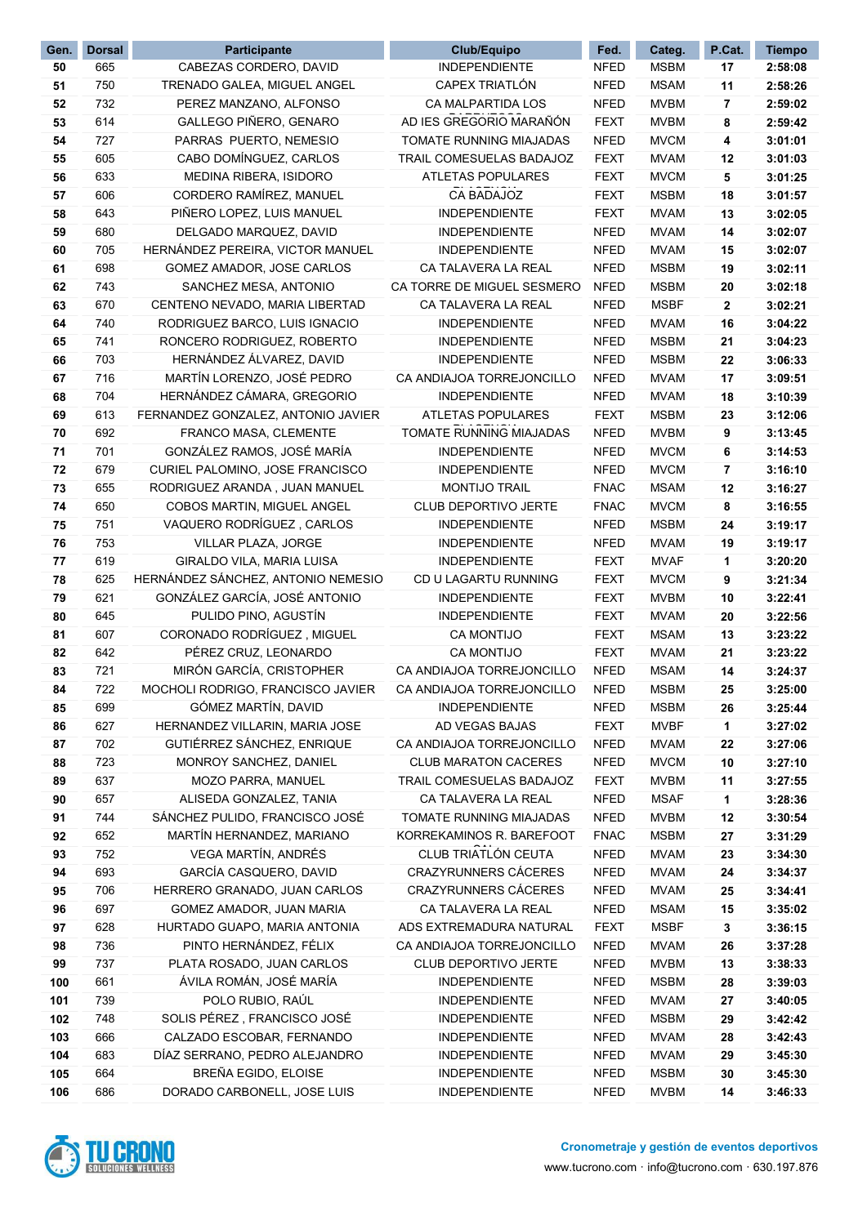| Gen. | <b>Dorsal</b> | Participante                       | <b>Club/Equipo</b>          | Fed.        | Categ.      | P.Cat. | <b>Tiempo</b> |
|------|---------------|------------------------------------|-----------------------------|-------------|-------------|--------|---------------|
| 50   | 665           | CABEZAS CORDERO, DAVID             | <b>INDEPENDIENTE</b>        | <b>NFED</b> | <b>MSBM</b> | 17     | 2:58:08       |
| 51   | 750           | TRENADO GALEA, MIGUEL ANGEL        | CAPEX TRIATLÓN              | <b>NFED</b> | <b>MSAM</b> | 11     | 2:58:26       |
| 52   | 732           | PEREZ MANZANO, ALFONSO             | CA MALPARTIDA LOS           | <b>NFED</b> | <b>MVBM</b> | 7      | 2:59:02       |
| 53   | 614           | GALLEGO PIÑERO, GENARO             | AD IES GREGORIO MARAÑÓN     | <b>FEXT</b> | <b>MVBM</b> | 8      | 2:59:42       |
| 54   | 727           | PARRAS PUERTO, NEMESIO             | TOMATE RUNNING MIAJADAS     | <b>NFED</b> | <b>MVCM</b> | 4      | 3:01:01       |
| 55   | 605           | CABO DOMÍNGUEZ, CARLOS             | TRAIL COMESUELAS BADAJOZ    | <b>FEXT</b> | <b>MVAM</b> | 12     | 3:01:03       |
| 56   | 633           | MEDINA RIBERA, ISIDORO             | <b>ATLETAS POPULARES</b>    | <b>FEXT</b> | <b>MVCM</b> | 5      | 3:01:25       |
| 57   | 606           | CORDERO RAMÍREZ, MANUEL            | CA BADAJOZ                  | <b>FEXT</b> | <b>MSBM</b> | 18     | 3:01:57       |
| 58   | 643           | PIÑERO LOPEZ, LUIS MANUEL          | <b>INDEPENDIENTE</b>        | <b>FEXT</b> | <b>MVAM</b> | 13     | 3:02:05       |
| 59   | 680           | DELGADO MARQUEZ, DAVID             | <b>INDEPENDIENTE</b>        | <b>NFED</b> | <b>MVAM</b> | 14     | 3:02:07       |
| 60   | 705           | HERNÁNDEZ PEREIRA, VICTOR MANUEL   | <b>INDEPENDIENTE</b>        | <b>NFED</b> | <b>MVAM</b> | 15     | 3:02:07       |
| 61   | 698           | GOMEZ AMADOR, JOSE CARLOS          | CA TALAVERA LA REAL         | <b>NFED</b> | <b>MSBM</b> | 19     | 3:02:11       |
| 62   | 743           | SANCHEZ MESA, ANTONIO              | CA TORRE DE MIGUEL SESMERO  | <b>NFED</b> | <b>MSBM</b> | 20     | 3:02:18       |
| 63   | 670           | CENTENO NEVADO, MARIA LIBERTAD     | CA TALAVERA LA REAL         | <b>NFED</b> | <b>MSBF</b> | 2      | 3:02:21       |
| 64   | 740           | RODRIGUEZ BARCO, LUIS IGNACIO      | INDEPENDIENTE               | <b>NFED</b> | <b>MVAM</b> | 16     | 3:04:22       |
| 65   | 741           | RONCERO RODRIGUEZ, ROBERTO         | <b>INDEPENDIENTE</b>        | <b>NFED</b> | <b>MSBM</b> | 21     | 3:04:23       |
| 66   | 703           | HERNÁNDEZ ÁLVAREZ, DAVID           | <b>INDEPENDIENTE</b>        | <b>NFED</b> | <b>MSBM</b> | 22     | 3:06:33       |
| 67   | 716           | MARTÍN LORENZO, JOSÉ PEDRO         | CA ANDIAJOA TORREJONCILLO   | <b>NFED</b> | <b>MVAM</b> | 17     | 3:09:51       |
| 68   | 704           | HERNÁNDEZ CÁMARA, GREGORIO         | <b>INDEPENDIENTE</b>        | <b>NFED</b> | <b>MVAM</b> | 18     | 3:10:39       |
| 69   | 613           | FERNANDEZ GONZALEZ, ANTONIO JAVIER | <b>ATLETAS POPULARES</b>    | <b>FEXT</b> | <b>MSBM</b> | 23     | 3:12:06       |
| 70   | 692           | FRANCO MASA, CLEMENTE              | TOMATE RUNNING MIAJADAS     | <b>NFED</b> | <b>MVBM</b> | 9      | 3:13:45       |
| 71   | 701           | GONZÁLEZ RAMOS, JOSÉ MARÍA         | <b>INDEPENDIENTE</b>        | <b>NFED</b> | <b>MVCM</b> | 6      | 3:14:53       |
| 72   | 679           | CURIEL PALOMINO, JOSE FRANCISCO    | <b>INDEPENDIENTE</b>        | <b>NFED</b> | <b>MVCM</b> | 7      | 3:16:10       |
| 73   | 655           | RODRIGUEZ ARANDA, JUAN MANUEL      | MONTIJO TRAIL               | <b>FNAC</b> | <b>MSAM</b> | 12     | 3:16:27       |
| 74   | 650           | COBOS MARTIN, MIGUEL ANGEL         | CLUB DEPORTIVO JERTE        | <b>FNAC</b> | <b>MVCM</b> | 8      | 3:16:55       |
| 75   | 751           | VAQUERO RODRÍGUEZ, CARLOS          | <b>INDEPENDIENTE</b>        | <b>NFED</b> | <b>MSBM</b> | 24     | 3:19:17       |
| 76   | 753           | VILLAR PLAZA, JORGE                | <b>INDEPENDIENTE</b>        | <b>NFED</b> | <b>MVAM</b> | 19     | 3:19:17       |
| 77   | 619           | GIRALDO VILA, MARIA LUISA          | <b>INDEPENDIENTE</b>        | <b>FEXT</b> | <b>MVAF</b> | 1      | 3:20:20       |
| 78   | 625           | HERNÁNDEZ SÁNCHEZ, ANTONIO NEMESIO | CD U LAGARTU RUNNING        | <b>FEXT</b> | <b>MVCM</b> | 9      | 3:21:34       |
| 79   | 621           | GONZÁLEZ GARCÍA, JOSÉ ANTONIO      | <b>INDEPENDIENTE</b>        | <b>FEXT</b> | <b>MVBM</b> | 10     | 3:22:41       |
| 80   | 645           | PULIDO PINO, AGUSTÍN               | <b>INDEPENDIENTE</b>        | <b>FEXT</b> | <b>MVAM</b> | 20     | 3:22:56       |
| 81   | 607           | CORONADO RODRÍGUEZ, MIGUEL         | <b>CA MONTIJO</b>           | <b>FEXT</b> | <b>MSAM</b> | 13     | 3:23:22       |
| 82   | 642           | PÉREZ CRUZ, LEONARDO               | <b>CA MONTIJO</b>           | <b>FEXT</b> | <b>MVAM</b> | 21     | 3:23:22       |
| 83   | 721           | MIRÓN GARCÍA, CRISTOPHER           | CA ANDIAJOA TORREJONCILLO   | <b>NFED</b> | <b>MSAM</b> | 14     | 3:24:37       |
| 84   | 722           | MOCHOLI RODRIGO, FRANCISCO JAVIER  | CA ANDIAJOA TORREJONCILLO   | <b>NFED</b> | <b>MSBM</b> | 25     | 3:25:00       |
| 85   | 699           | GÓMEZ MARTÍN, DAVID                | <b>INDEPENDIENTE</b>        | <b>NFED</b> | <b>MSBM</b> | 26     | 3:25:44       |
| 86   | 627           | HERNANDEZ VILLARIN, MARIA JOSE     | AD VEGAS BAJAS              | <b>FEXT</b> | <b>MVBF</b> | 1      | 3:27:02       |
| 87   | 702           | GUTIÉRREZ SÁNCHEZ, ENRIQUE         | CA ANDIAJOA TORREJONCILLO   | <b>NFED</b> | <b>MVAM</b> | 22     | 3:27:06       |
| 88   | 723           | MONROY SANCHEZ, DANIEL             | <b>CLUB MARATON CACERES</b> | <b>NFED</b> | <b>MVCM</b> | 10     | 3:27:10       |
| 89   | 637           | MOZO PARRA, MANUEL                 | TRAIL COMESUELAS BADAJOZ    | <b>FEXT</b> | <b>MVBM</b> | 11     | 3:27:55       |
| 90   | 657           | ALISEDA GONZALEZ, TANIA            | CA TALAVERA LA REAL         | <b>NFED</b> | <b>MSAF</b> | 1      | 3:28:36       |
| 91   | 744           | SÁNCHEZ PULIDO, FRANCISCO JOSÉ     | TOMATE RUNNING MIAJADAS     | <b>NFED</b> | <b>MVBM</b> | 12     | 3:30:54       |
| 92   | 652           | MARTÍN HERNANDEZ, MARIANO          | KORREKAMINOS R. BAREFOOT    | <b>FNAC</b> | <b>MSBM</b> | 27     | 3:31:29       |
| 93   | 752           | VEGA MARTÍN, ANDRÉS                | CLUB TRIATLÓN CEUTA         | <b>NFED</b> | <b>MVAM</b> | 23     | 3:34:30       |
| 94   | 693           | GARCÍA CASQUERO, DAVID             | CRAZYRUNNERS CÁCERES        | <b>NFED</b> | <b>MVAM</b> | 24     | 3:34:37       |
| 95   | 706           | HERRERO GRANADO, JUAN CARLOS       | CRAZYRUNNERS CÁCERES        | <b>NFED</b> | <b>MVAM</b> | 25     | 3:34:41       |
| 96   | 697           | GOMEZ AMADOR, JUAN MARIA           | CA TALAVERA LA REAL         | <b>NFED</b> | <b>MSAM</b> | 15     | 3:35:02       |
| 97   | 628           | HURTADO GUAPO, MARIA ANTONIA       | ADS EXTREMADURA NATURAL     | <b>FEXT</b> | <b>MSBF</b> | 3      | 3:36:15       |
| 98   | 736           | PINTO HERNÁNDEZ, FÉLIX             | CA ANDIAJOA TORREJONCILLO   | <b>NFED</b> | <b>MVAM</b> | 26     | 3:37:28       |
| 99   | 737           | PLATA ROSADO, JUAN CARLOS          | CLUB DEPORTIVO JERTE        | <b>NFED</b> | <b>MVBM</b> | 13     | 3:38:33       |
| 100  | 661           | ÁVILA ROMÁN, JOSÉ MARÍA            | <b>INDEPENDIENTE</b>        | <b>NFED</b> | <b>MSBM</b> | 28     | 3:39:03       |
| 101  | 739           | POLO RUBIO, RAÚL                   | <b>INDEPENDIENTE</b>        | <b>NFED</b> | <b>MVAM</b> | 27     | 3:40:05       |
| 102  | 748           | SOLIS PÉREZ, FRANCISCO JOSÉ        | <b>INDEPENDIENTE</b>        | <b>NFED</b> | <b>MSBM</b> | 29     | 3:42:42       |
| 103  | 666           | CALZADO ESCOBAR, FERNANDO          | <b>INDEPENDIENTE</b>        | <b>NFED</b> | <b>MVAM</b> | 28     | 3:42:43       |
| 104  | 683           | DÍAZ SERRANO, PEDRO ALEJANDRO      | INDEPENDIENTE               | <b>NFED</b> | <b>MVAM</b> | 29     | 3:45:30       |
| 105  | 664           | BREÑA EGIDO, ELOISE                | <b>INDEPENDIENTE</b>        | <b>NFED</b> | <b>MSBM</b> | 30     | 3:45:30       |
| 106  | 686           | DORADO CARBONELL, JOSE LUIS        | <b>INDEPENDIENTE</b>        | <b>NFED</b> | <b>MVBM</b> | 14     | 3:46:33       |